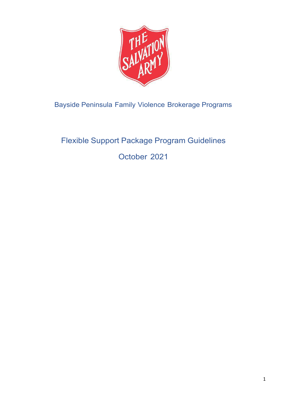

Bayside Peninsula Family Violence Brokerage Programs

# Flexible Support Package Program Guidelines

October 2021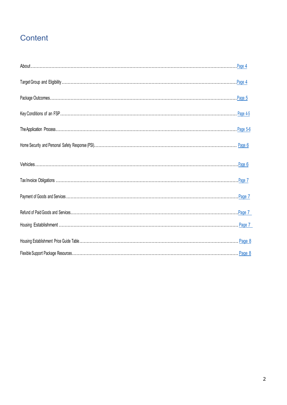# Content

| Page 4   |
|----------|
| Page 5   |
| Page 4-5 |
| Page 5-6 |
| Page 6   |
| Page 6   |
|          |
| Page 7   |
| Page 7   |
| Page 7   |
| . Page 8 |
|          |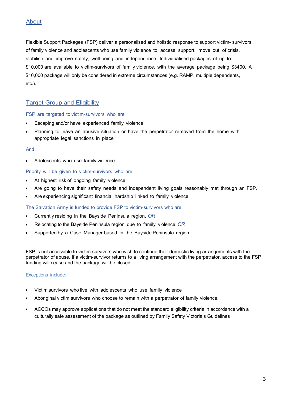# <span id="page-2-0"></span>About

Flexible Support Packages (FSP) deliver a personalised and holistic response to support victim- survivors of family violence and adolescents who use family violence to access support, move out of crisis, stabilise and improve safety, well-being and independence. Individualised packages of up to \$10,000 are available to victim-survivors of family violence, with the average package being \$3400. A \$10,000 package will only be considered in extreme circumstances (e.g. RAMP, multiple dependents, etc.).

# <span id="page-2-1"></span>Target Group and Eligibility

#### FSP are targeted to victim-survivors who are:

- Escaping and/or have experienced family violence
- Planning to leave an abusive situation or have the perpetrator removed from the home with appropriate legal sanctions in place

#### And

Adolescents who use family violence

#### Priority will be given to victim-survivors who are:

- At highest risk of ongoing family violence
- Are going to have their safety needs and independent living goals reasonably met through an FSP.
- Are experiencing significant financial hardship linked to family violence

#### The Salvation Army is funded to provide FSP to victim-survivors who are:

- Currently residing in the Bayside Peninsula region. *OR*
- Relocating to the Bayside Peninsula region due to family violence. *OR*
- Supported by a Case Manager based in the Bayside Peninsula region

FSP is not accessible to victim-survivors who wish to continue their domestic living arrangements with the perpetrator of abuse. If a victim-survivor returns to a living arrangement with the perpetrator, access to the FSP funding will cease and the package will be closed.

#### Exceptions include:

- Victim survivors who live with adolescents who use family violence
- Aboriginal victim survivors who choose to remain with a perpetrator of family violence.
- ACCOs may approve applications that do not meet the standard eligibility criteria in accordance with a culturally safe assessment of the package as outlined by Family Safety Victoria's Guidelines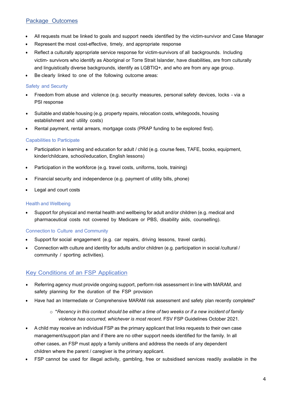# Package Outcomes

- All requests must be linked to goals and support needs identified by the victim-survivor and Case Manager
- Represent the most cost-effective, timely, and appropriate response
- Reflect a culturally appropriate service response for victim-survivors of all backgrounds. Including victim- survivors who identify as Aboriginal or Torre Strait Islander, have disabilities, are from culturally and linguistically diverse backgrounds, identify as LGBTIQ+, and who are from any age group.
- Be clearly linked to one of the following outcome areas:

#### Safety and Security

- Freedom from abuse and violence (e.g. security measures, personal safety devices, locks via a [PSI r](https://southsafe.com.au/detailed-service-information-for-workers/personal-safety-initiative/)esponse
- Suitable and stable housing (e.g. property repairs, relocation costs, whitegoods, housing establishment and utility costs)
- Rental payment, rental arrears, mortgage costs (PRAP funding to be explored first).

#### Capabilities to Participate

- Participation in learning and education for adult / child (e.g. course fees, TAFE, books, equipment, kinder/childcare, school/education, English lessons)
- Participation in the workforce (e.g. travel costs, uniforms, tools, training)
- Financial security and independence (e.g. payment of utility bills, phone)
- Legal and court costs

#### Health and Wellbeing

• Support for physical and mental health and wellbeing for adult and/or children (e.g. medical and pharmaceutical costs not covered by Medicare or PBS, disability aids, counselling).

#### Connection to Culture and Community

- Support for social engagement (e.g. car repairs, driving lessons, travel cards).
- Connection with culture and identity for adults and/or children (e.g. participation in social /cultural / community / sporting activities).

# Key Conditions of an FSP Application

- Referring agency must provide ongoing support, perform risk assessment in line with MARAM, and safety planning for the duration of the FSP provision
- Have had an Intermediate or Comprehensive MARAM risk assessment and safety plan recently completed\*
	- o \**Recency in this context should be either a time of two weeks or if a new incident of family violence has occurred, whichever is most recent*. FSV FSP Guidelines October 2021.
- A child may receive an individual FSP as the primary applicant that links requests to their own case management/support plan and if there are no other support needs identified for the family. In all other cases, an FSP must apply a family unitlens and address the needs of any dependent children where the parent / caregiver is the primary applicant.
- FSP cannot be used for illegal activity, gambling, free or subsidised services readily available in the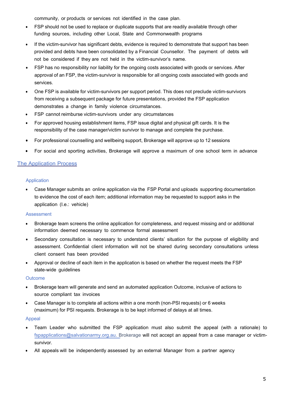community, or products or services not identified in the case plan.

- FSP should not be used to replace or duplicate supports that are readily available through other funding sources, including other Local, State and Commonwealth programs
- If the victim-survivor has significant debts, evidence is required to demonstrate that support has been provided and debts have been consolidated by a Financial Counsellor. The payment of debts will not be considered if they are not held in the victim-survivor's name.
- FSP has no responsibility nor liability for the ongoing costs associated with goods or services. After approval of an FSP, the victim-survivor is responsible for all ongoing costs associated with goods and services.
- One FSP is available for victim-survivors per support period. This does not preclude victim-survivors from receiving a subsequent package for future presentations, provided the FSP application demonstrates a change in family violence circumstances.
- FSP cannot reimburse victim-survivors under any circumstances
- For approved housing establishment items, FSP issue digital and physical gift cards. It is the responsibility of the case manager/victim survivor to manage and complete the purchase.
- For professional counselling and wellbeing support, Brokerage will approve up to 12 sessions
- <span id="page-4-0"></span>• For social and sporting activities, Brokerage will approve a maximum of one school term in advance

### The Application Process

#### Application

• Case Manager submits an online application via the FSP Portal and uploads supporting documentation to evidence the cost of each item; additional information may be requested to support asks in the application (I.e.: vehicle)

#### **Assessment**

- Brokerage team screens the online application for completeness, and request missing and or additional information deemed necessary to commence formal assessment
- Secondary consultation is necessary to understand clients' situation for the purpose of eligibility and assessment. Confidential client information will not be shared during secondary consultations unless client consent has been provided
- Approval or decline of each item in the application is based on whether the request meets the FSP state-wide guidelines

#### **Outcome**

- Brokerage team will generate and send an automated application Outcome, inclusive of actions to source compliant tax invoices
- Case Manager is to complete all actions within a one month (non-PSI requests) or 6 weeks (maximum) for PSI requests. Brokerage is to be kept informed of delays at all times.

#### Appeal

- Team Leader who submitted the FSP application must also submit the appeal (with a rationale) to [fspapplications@salvationarmy.org.au. B](mailto:fspapplications@salvationarmy.org.au)rokerage will not accept an appeal from a case manager or victimsurvivor.
- All appeals will be independently assessed by an external Manager from a partner agency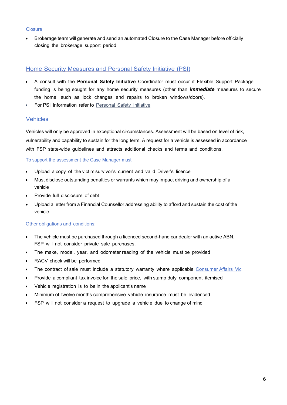#### **Closure**

• Brokerage team will generate and send an automated Closure to the Case Manager before officially closing the brokerage support period

#### <span id="page-5-0"></span>Home Security Measures and Personal Safety Initiative (PSI)

- A consult with the **Personal Safety Initiative** Coordinator must occur if Flexible Support Package funding is being sought for any home security measures (other than *immediate* measures to secure the home, such as lock changes and repairs to broken windows/doors).
- For PSI information refer to [Personal](https://southsafe.com.au/detailed-service-information-for-workers/personal-safety-initiative/) Safety Initiative

#### <span id="page-5-1"></span>**Vehicles**

Vehicles will only be approved in exceptional circumstances. Assessment will be based on level of risk, vulnerability and capability to sustain for the long term. A request for a vehicle is assessed in accordance with FSP state-wide guidelines and attracts additional checks and terms and conditions.

#### To support the assessment the Case Manager must;

- Upload a copy of the victim survivor's current and valid Driver's licence
- Must disclose outstanding penalties or warrants which may impact driving and ownership of a vehicle
- Provide full disclosure of debt
- Upload a letter from a Financial Counsellor addressing ability to afford and sustain the cost of the vehicle

#### Other obligations and conditions:

- The vehicle must be purchased through a licenced second-hand car dealer with an active ABN. FSP will not consider private sale purchases.
- The make, model, year, and odometer reading of the vehicle must be provided
- RACV check will be performed
- The contract of sale must include a statutory warranty where applicable [Consumer](https://www.consumer.vic.gov.au/cars/buying-a-used-car/warranties) Affairs Vic
- Provide a compliant tax invoice for the sale price, with stamp duty component itemised
- Vehicle registration is to be in the applicant's name
- Minimum of twelve months comprehensive vehicle insurance must be evidenced
- FSP will not consider a request to upgrade a vehicle due to change of mind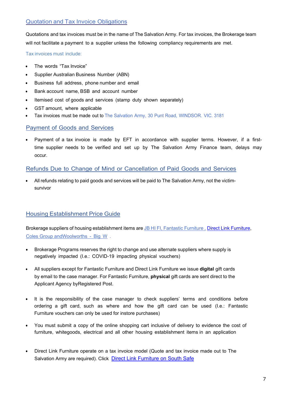# <span id="page-6-0"></span>Quotation and Tax Invoice Obligations

Quotations and tax invoices must be in the name of The Salvation Army. For tax invoices, the Brokerage team will not facilitate a payment to a supplier unless the following compliancy requirements are met.

Tax invoices must include:

- The words "Tax Invoice"
- Supplier Australian Business Number (ABN)
- Business full address, phone number and email
- Bank account name, BSB and account number
- Itemised cost of goods and services (stamp duty shown separately)
- GST amount, where applicable
- Tax invoices must be made out to The Salvation Army, 30 Punt Road, WINDSOR. VIC. 3181

# <span id="page-6-1"></span>Payment of Goods and Services

• Payment of a tax invoice is made by EFT in accordance with supplier terms. However, if a firsttime supplier needs to be verified and set up by The Salvation Army Finance team, delays may occur.

# <span id="page-6-2"></span>Refunds Due to Change of Mind or Cancellation of Paid Goods and Services

• All refunds relating to paid goods and services will be paid to The Salvation Army, not the victimsurvivor

# <span id="page-6-3"></span>Housing Establishment Price Guide

Brokerage suppliers of housing establishment items are [JB](https://www.jbhifi.com.au/) HI FI, Fantastic [Furniture , D](https://www.fantasticfurniture.com.au/)irect Link [Furniture,](https://southsafe.com.au/funding/flexible-support-packages/) [Coles Group](https://www.giftcards.com.au/) an[dWoolworths - Big W](https://www.bigw.com.au/) .

- Brokerage Programs reserves the right to change and use alternate suppliers where supply is negatively impacted (I.e.: COVID-19 impacting physical vouchers)
- All suppliers except for Fantastic Furniture and Direct Link Furniture we issue **digital** gift cards by email to the case manager. For Fantastic Furniture, **physical** gift cards are sent direct to the Applicant Agency byRegistered Post.
- It is the responsibility of the case manager to check suppliers' terms and conditions before ordering a gift card, such as where and how the gift card can be used (I.e.: Fantastic Furniture vouchers can only be used for instore purchases)
- You must submit a copy of the online shopping cart inclusive of delivery to evidence the cost of furniture, whitegoods, electrical and all other housing establishment items in an application
- Direct Link Furniture operate on a tax invoice model (Quote and tax invoice made out to The Salvation Army are required). Click [Direct Link Furniture on South](https://southsafe.com.au/funding/flexible-support-packages/) Safe